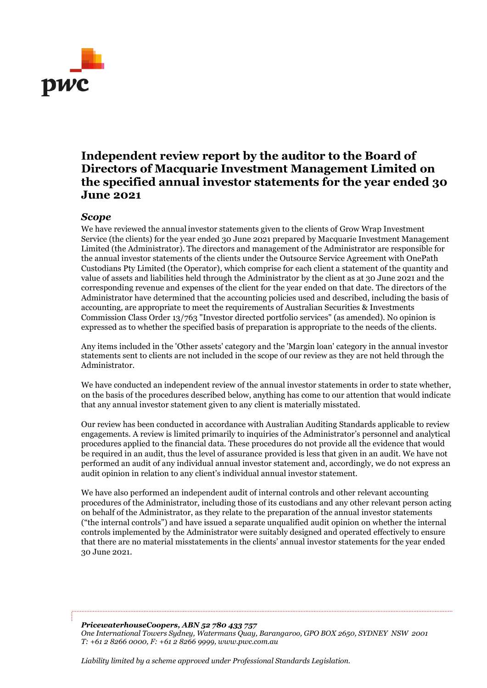

## **Independent review report by the auditor to the Board of Directors of Macquarie Investment Management Limited on the specified annual investor statements for the year ended 30 June 2021**

## *Scope*

We have reviewed the annual investor statements given to the clients of Grow Wrap Investment Service (the clients) for the year ended 30 June 2021 prepared by Macquarie Investment Management Limited (the Administrator). The directors and management of the Administrator are responsible for the annual investor statements of the clients under the Outsource Service Agreement with OnePath Custodians Pty Limited (the Operator), which comprise for each client a statement of the quantity and value of assets and liabilities held through the Administrator by the client as at 30 June 2021 and the corresponding revenue and expenses of the client for the year ended on that date. The directors of the Administrator have determined that the accounting policies used and described, including the basis of accounting, are appropriate to meet the requirements of Australian Securities & Investments Commission Class Order 13/763 "Investor directed portfolio services" (as amended). No opinion is expressed as to whether the specified basis of preparation is appropriate to the needs of the clients.

Any items included in the 'Other assets' category and the 'Margin loan' category in the annual investor statements sent to clients are not included in the scope of our review as they are not held through the Administrator.

We have conducted an independent review of the annual investor statements in order to state whether, on the basis of the procedures described below, anything has come to our attention that would indicate that any annual investor statement given to any client is materially misstated*.*

Our review has been conducted in accordance with Australian Auditing Standards applicable to review engagements. A review is limited primarily to inquiries of the Administrator's personnel and analytical procedures applied to the financial data. These procedures do not provide all the evidence that would be required in an audit, thus the level of assurance provided is less that given in an audit. We have not performed an audit of any individual annual investor statement and, accordingly, we do not express an audit opinion in relation to any client's individual annual investor statement.

We have also performed an independent audit of internal controls and other relevant accounting procedures of the Administrator, including those of its custodians and any other relevant person acting on behalf of the Administrator, as they relate to the preparation of the annual investor statements ("the internal controls") and have issued a separate unqualified audit opinion on whether the internal controls implemented by the Administrator were suitably designed and operated effectively to ensure that there are no material misstatements in the clients' annual investor statements for the year ended 30 June 2021.

*PricewaterhouseCoopers, ABN 52 780 433 757 One International Towers Sydney, Watermans Quay, Barangaroo, GPO BOX 2650, SYDNEY NSW 2001 T: +61 2 8266 0000, F: +61 2 8266 9999, www.pwc.com.au*

*Liability limited by a scheme approved under Professional Standards Legislation.*